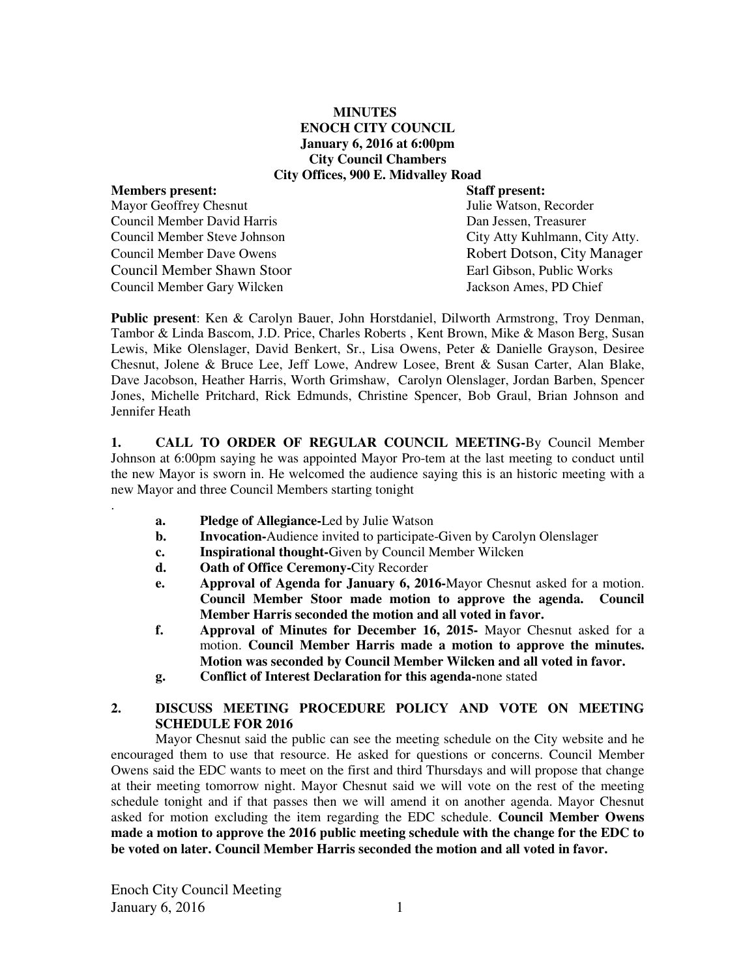### **MINUTES ENOCH CITY COUNCIL January 6, 2016 at 6:00pm City Council Chambers City Offices, 900 E. Midvalley Road**

# **Members present: Staff present:**

.

Mayor Geoffrey Chesnut Tulie Watson, Recorder Council Member David Harris Dan Jessen, Treasurer Council Member Steve Johnson City Atty Kuhlmann, City Atty. Council Member Dave Owens **Robert Dotson, City Manager** Council Member Shawn Stoor Earl Gibson, Public Works Council Member Gary Wilcken Jackson Ames, PD Chief

**Public present**: Ken & Carolyn Bauer, John Horstdaniel, Dilworth Armstrong, Troy Denman, Tambor & Linda Bascom, J.D. Price, Charles Roberts , Kent Brown, Mike & Mason Berg, Susan Lewis, Mike Olenslager, David Benkert, Sr., Lisa Owens, Peter & Danielle Grayson, Desiree Chesnut, Jolene & Bruce Lee, Jeff Lowe, Andrew Losee, Brent & Susan Carter, Alan Blake, Dave Jacobson, Heather Harris, Worth Grimshaw, Carolyn Olenslager, Jordan Barben, Spencer Jones, Michelle Pritchard, Rick Edmunds, Christine Spencer, Bob Graul, Brian Johnson and Jennifer Heath

**1. CALL TO ORDER OF REGULAR COUNCIL MEETING-**By Council Member Johnson at 6:00pm saying he was appointed Mayor Pro-tem at the last meeting to conduct until the new Mayor is sworn in. He welcomed the audience saying this is an historic meeting with a new Mayor and three Council Members starting tonight

- **a. Pledge of Allegiance-**Led by Julie Watson
- **b.** Invocation-Audience invited to participate-Given by Carolyn Olenslager
- **c. Inspirational thought-**Given by Council Member Wilcken
- **d. Oath of Office Ceremony-**City Recorder
- **e. Approval of Agenda for January 6, 2016-**Mayor Chesnut asked for a motion. **Council Member Stoor made motion to approve the agenda. Council Member Harris seconded the motion and all voted in favor.**
- **f. Approval of Minutes for December 16, 2015-** Mayor Chesnut asked for a motion. **Council Member Harris made a motion to approve the minutes. Motion was seconded by Council Member Wilcken and all voted in favor.**
- **g. Conflict of Interest Declaration for this agenda-**none stated

#### **2. DISCUSS MEETING PROCEDURE POLICY AND VOTE ON MEETING SCHEDULE FOR 2016**

Mayor Chesnut said the public can see the meeting schedule on the City website and he encouraged them to use that resource. He asked for questions or concerns. Council Member Owens said the EDC wants to meet on the first and third Thursdays and will propose that change at their meeting tomorrow night. Mayor Chesnut said we will vote on the rest of the meeting schedule tonight and if that passes then we will amend it on another agenda. Mayor Chesnut asked for motion excluding the item regarding the EDC schedule. **Council Member Owens made a motion to approve the 2016 public meeting schedule with the change for the EDC to be voted on later. Council Member Harris seconded the motion and all voted in favor.**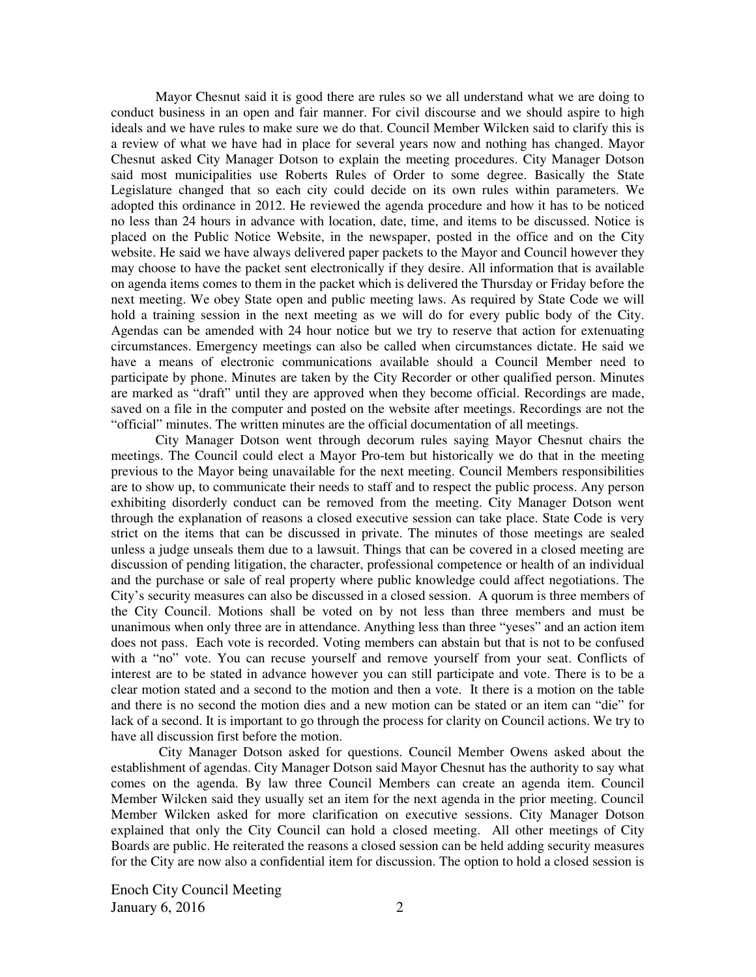Mayor Chesnut said it is good there are rules so we all understand what we are doing to conduct business in an open and fair manner. For civil discourse and we should aspire to high ideals and we have rules to make sure we do that. Council Member Wilcken said to clarify this is a review of what we have had in place for several years now and nothing has changed. Mayor Chesnut asked City Manager Dotson to explain the meeting procedures. City Manager Dotson said most municipalities use Roberts Rules of Order to some degree. Basically the State Legislature changed that so each city could decide on its own rules within parameters. We adopted this ordinance in 2012. He reviewed the agenda procedure and how it has to be noticed no less than 24 hours in advance with location, date, time, and items to be discussed. Notice is placed on the Public Notice Website, in the newspaper, posted in the office and on the City website. He said we have always delivered paper packets to the Mayor and Council however they may choose to have the packet sent electronically if they desire. All information that is available on agenda items comes to them in the packet which is delivered the Thursday or Friday before the next meeting. We obey State open and public meeting laws. As required by State Code we will hold a training session in the next meeting as we will do for every public body of the City. Agendas can be amended with 24 hour notice but we try to reserve that action for extenuating circumstances. Emergency meetings can also be called when circumstances dictate. He said we have a means of electronic communications available should a Council Member need to participate by phone. Minutes are taken by the City Recorder or other qualified person. Minutes are marked as "draft" until they are approved when they become official. Recordings are made, saved on a file in the computer and posted on the website after meetings. Recordings are not the "official" minutes. The written minutes are the official documentation of all meetings.

City Manager Dotson went through decorum rules saying Mayor Chesnut chairs the meetings. The Council could elect a Mayor Pro-tem but historically we do that in the meeting previous to the Mayor being unavailable for the next meeting. Council Members responsibilities are to show up, to communicate their needs to staff and to respect the public process. Any person exhibiting disorderly conduct can be removed from the meeting. City Manager Dotson went through the explanation of reasons a closed executive session can take place. State Code is very strict on the items that can be discussed in private. The minutes of those meetings are sealed unless a judge unseals them due to a lawsuit. Things that can be covered in a closed meeting are discussion of pending litigation, the character, professional competence or health of an individual and the purchase or sale of real property where public knowledge could affect negotiations. The City's security measures can also be discussed in a closed session. A quorum is three members of the City Council. Motions shall be voted on by not less than three members and must be unanimous when only three are in attendance. Anything less than three "yeses" and an action item does not pass. Each vote is recorded. Voting members can abstain but that is not to be confused with a "no" vote. You can recuse yourself and remove yourself from your seat. Conflicts of interest are to be stated in advance however you can still participate and vote. There is to be a clear motion stated and a second to the motion and then a vote. It there is a motion on the table and there is no second the motion dies and a new motion can be stated or an item can "die" for lack of a second. It is important to go through the process for clarity on Council actions. We try to have all discussion first before the motion.

 City Manager Dotson asked for questions. Council Member Owens asked about the establishment of agendas. City Manager Dotson said Mayor Chesnut has the authority to say what comes on the agenda. By law three Council Members can create an agenda item. Council Member Wilcken said they usually set an item for the next agenda in the prior meeting. Council Member Wilcken asked for more clarification on executive sessions. City Manager Dotson explained that only the City Council can hold a closed meeting. All other meetings of City Boards are public. He reiterated the reasons a closed session can be held adding security measures for the City are now also a confidential item for discussion. The option to hold a closed session is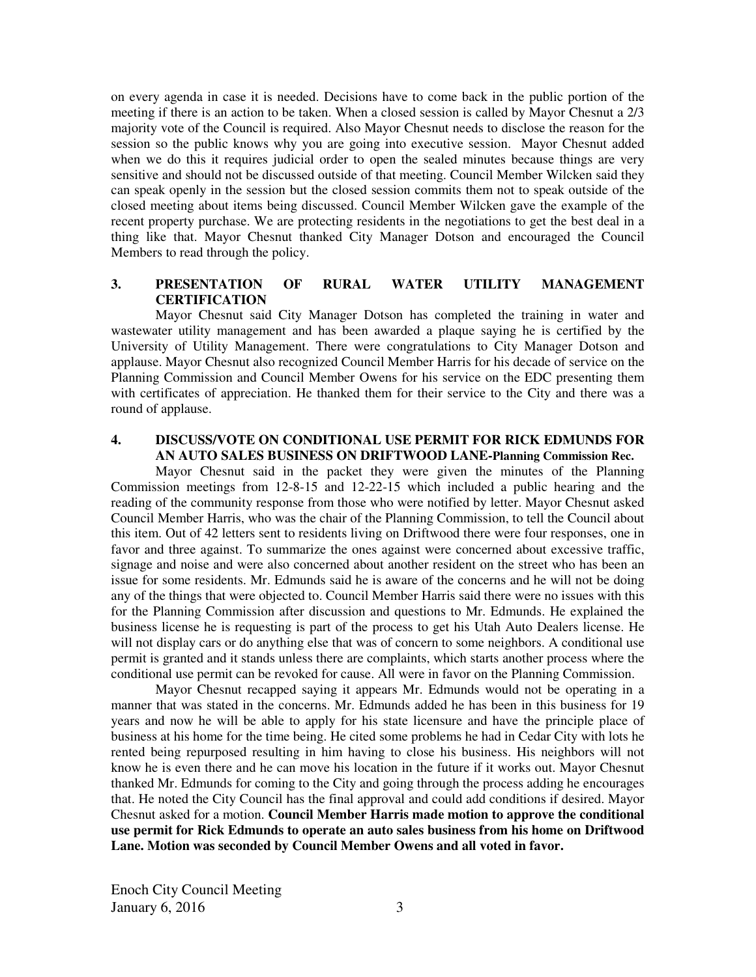on every agenda in case it is needed. Decisions have to come back in the public portion of the meeting if there is an action to be taken. When a closed session is called by Mayor Chesnut a 2/3 majority vote of the Council is required. Also Mayor Chesnut needs to disclose the reason for the session so the public knows why you are going into executive session. Mayor Chesnut added when we do this it requires judicial order to open the sealed minutes because things are very sensitive and should not be discussed outside of that meeting. Council Member Wilcken said they can speak openly in the session but the closed session commits them not to speak outside of the closed meeting about items being discussed. Council Member Wilcken gave the example of the recent property purchase. We are protecting residents in the negotiations to get the best deal in a thing like that. Mayor Chesnut thanked City Manager Dotson and encouraged the Council Members to read through the policy.

#### **3. PRESENTATION OF RURAL WATER UTILITY MANAGEMENT CERTIFICATION**

Mayor Chesnut said City Manager Dotson has completed the training in water and wastewater utility management and has been awarded a plaque saying he is certified by the University of Utility Management. There were congratulations to City Manager Dotson and applause. Mayor Chesnut also recognized Council Member Harris for his decade of service on the Planning Commission and Council Member Owens for his service on the EDC presenting them with certificates of appreciation. He thanked them for their service to the City and there was a round of applause.

#### **4. DISCUSS/VOTE ON CONDITIONAL USE PERMIT FOR RICK EDMUNDS FOR AN AUTO SALES BUSINESS ON DRIFTWOOD LANE-Planning Commission Rec.**

Mayor Chesnut said in the packet they were given the minutes of the Planning Commission meetings from 12-8-15 and 12-22-15 which included a public hearing and the reading of the community response from those who were notified by letter. Mayor Chesnut asked Council Member Harris, who was the chair of the Planning Commission, to tell the Council about this item. Out of 42 letters sent to residents living on Driftwood there were four responses, one in favor and three against. To summarize the ones against were concerned about excessive traffic, signage and noise and were also concerned about another resident on the street who has been an issue for some residents. Mr. Edmunds said he is aware of the concerns and he will not be doing any of the things that were objected to. Council Member Harris said there were no issues with this for the Planning Commission after discussion and questions to Mr. Edmunds. He explained the business license he is requesting is part of the process to get his Utah Auto Dealers license. He will not display cars or do anything else that was of concern to some neighbors. A conditional use permit is granted and it stands unless there are complaints, which starts another process where the conditional use permit can be revoked for cause. All were in favor on the Planning Commission.

Mayor Chesnut recapped saying it appears Mr. Edmunds would not be operating in a manner that was stated in the concerns. Mr. Edmunds added he has been in this business for 19 years and now he will be able to apply for his state licensure and have the principle place of business at his home for the time being. He cited some problems he had in Cedar City with lots he rented being repurposed resulting in him having to close his business. His neighbors will not know he is even there and he can move his location in the future if it works out. Mayor Chesnut thanked Mr. Edmunds for coming to the City and going through the process adding he encourages that. He noted the City Council has the final approval and could add conditions if desired. Mayor Chesnut asked for a motion. **Council Member Harris made motion to approve the conditional use permit for Rick Edmunds to operate an auto sales business from his home on Driftwood Lane. Motion was seconded by Council Member Owens and all voted in favor.**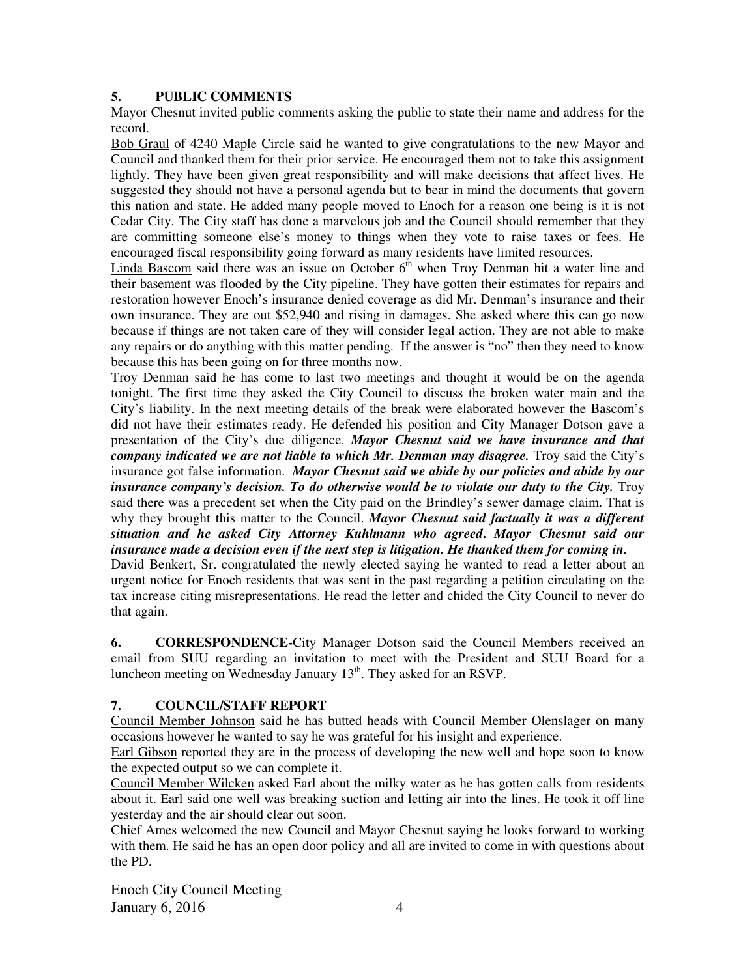### **5. PUBLIC COMMENTS**

Mayor Chesnut invited public comments asking the public to state their name and address for the record.

Bob Graul of 4240 Maple Circle said he wanted to give congratulations to the new Mayor and Council and thanked them for their prior service. He encouraged them not to take this assignment lightly. They have been given great responsibility and will make decisions that affect lives. He suggested they should not have a personal agenda but to bear in mind the documents that govern this nation and state. He added many people moved to Enoch for a reason one being is it is not Cedar City. The City staff has done a marvelous job and the Council should remember that they are committing someone else's money to things when they vote to raise taxes or fees. He encouraged fiscal responsibility going forward as many residents have limited resources.

Linda Bascom said there was an issue on October  $6<sup>th</sup>$  when Troy Denman hit a water line and their basement was flooded by the City pipeline. They have gotten their estimates for repairs and restoration however Enoch's insurance denied coverage as did Mr. Denman's insurance and their own insurance. They are out \$52,940 and rising in damages. She asked where this can go now because if things are not taken care of they will consider legal action. They are not able to make any repairs or do anything with this matter pending. If the answer is "no" then they need to know because this has been going on for three months now.

Troy Denman said he has come to last two meetings and thought it would be on the agenda tonight. The first time they asked the City Council to discuss the broken water main and the City's liability. In the next meeting details of the break were elaborated however the Bascom's did not have their estimates ready. He defended his position and City Manager Dotson gave a presentation of the City's due diligence. *Mayor Chesnut said we have insurance and that company indicated we are not liable to which Mr. Denman may disagree.* Troy said the City's insurance got false information. *Mayor Chesnut said we abide by our policies and abide by our insurance company's decision. To do otherwise would be to violate our duty to the City.* Troy said there was a precedent set when the City paid on the Brindley's sewer damage claim. That is why they brought this matter to the Council. *Mayor Chesnut said factually it was a different situation and he asked City Attorney Kuhlmann who agreed***.** *Mayor Chesnut said our insurance made a decision even if the next step is litigation. He thanked them for coming in.* 

David Benkert, Sr. congratulated the newly elected saying he wanted to read a letter about an urgent notice for Enoch residents that was sent in the past regarding a petition circulating on the tax increase citing misrepresentations. He read the letter and chided the City Council to never do that again.

**6. CORRESPONDENCE-**City Manager Dotson said the Council Members received an email from SUU regarding an invitation to meet with the President and SUU Board for a luncheon meeting on Wednesday January  $13<sup>th</sup>$ . They asked for an RSVP.

## **7. COUNCIL/STAFF REPORT**

Council Member Johnson said he has butted heads with Council Member Olenslager on many occasions however he wanted to say he was grateful for his insight and experience.

Earl Gibson reported they are in the process of developing the new well and hope soon to know the expected output so we can complete it.

Council Member Wilcken asked Earl about the milky water as he has gotten calls from residents about it. Earl said one well was breaking suction and letting air into the lines. He took it off line yesterday and the air should clear out soon.

Chief Ames welcomed the new Council and Mayor Chesnut saying he looks forward to working with them. He said he has an open door policy and all are invited to come in with questions about the PD.